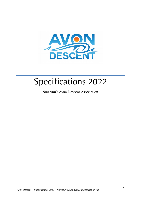

# Specifications 2022

Northam's Avon Descent Association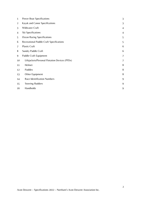| $\mathbf{1}$ | Power Boat Specifications                     | 3              |
|--------------|-----------------------------------------------|----------------|
| 2            | Kayak and Canoe Specifications                | 3              |
| 3            | Wildwater Craft                               | $\overline{4}$ |
| 4            | <b>Ski Specifications</b>                     | 4              |
| 5            | Ocean Racing Specifications                   | 5              |
| 6            | Recreational Paddle Craft Specifications      | 5              |
| 7            | <b>Plastic Craft</b>                          | 6              |
| 8            | <b>Sundry Paddle Craft</b>                    | 6              |
| 9            | Paddle Craft Equipment                        | 7              |
| 10           | Lifejackets/Personal Flotation Devices (PFDs) | 7              |
| 11           | Helmet                                        | 8              |
| 12           | Paddles                                       | 8              |
| 13           | Other Equipment                               | 8              |
| 14           | Race Identification Numbers                   | 9              |
| 15           | <b>Steering Rudders</b>                       | 9              |
| 16           | Handholds                                     | 9              |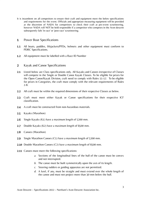<span id="page-2-0"></span>It is incumbent on all competitors to ensure their craft and equipment meet the below specifications and requirements for the event. Officials and appropriate measuring equipment will be provided at the discretion of NADA for competitors to check their craft at pre-event scrutineering, however NADA will NOT be held responsible if a competitor who competes in the Avon descent subsequently fails 'in race' or 'post-race' scrutineering.

## 1 Power Boat Specifications

- 1.1 All boats, paddles, lifejackets/PFDs, helmets and other equipment must conform to PDRC Specifications.
- <span id="page-2-1"></span>**1.2** All equipment must be labelled with a Race ID Number
- 2 Kayak and Canoe Specifications
- 2.1 Listed below are Class specifications only. All Kayaks and Canoes irrespective of Classes will compete in the Single or Double Canoe Kayak Classes. To be eligible for prizes for the Open Canoe/Kayak Division, craft need to comply with Rules 11-17. To be eligible for prizes in Categories, the craft must comply with the relevant requirements of Rules 2-8.
- 2.2 All craft must be within the required dimensions of their respective Classes as below.
- 2.3 Craft must meet either Kayak or Canoe specifications for their respective ICF classification.
- 2.4 A craft must be constructed from non-hazardous materials.
- 2.5 Kayaks (Marathon)
- 2.6 Single Kayaks (K1) have a maximum length of 5200 mm.
- 2.7 Double Kayaks (K2) have a maximum length of 6500 mm.
- 2.8 Canoes (Marathon)
- 2.9 Single Marathon Canoes (C1) have a maximum length of 5200 mm.
- **2.10** Double Marathon Canoes (C2) have a maximum length of 6500 mm.
- **2.11** Canoes must meet the following specifications:
	- a. Sections of the longitudinal lines of the hull of the canoe must be convex and not interrupted.
	- b. The canoe must be built symmetrically upon the axis of its length.
	- c. Steering rudders or guiding apparatus are not permitted.
	- d. A keel, if any, must be straight and must extend over the whole length of the canoe and must not project more than 30 mm below the hull.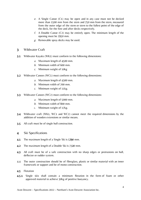- e. A Single Canoe (C1) may be open and in any case must not be decked more than 1500 mm from the stem and 750 mm from the stern, measured from the outer edge of the stem or stern to the fullest point of the edge of the deck, for the fore and after decks respectively.
- f. A Double Canoe  $(C2)$  may be entirely open. The minimum length of the opening must be 2950 mm.
- g. Removable spray decks may be used.

## <span id="page-3-0"></span>3 Wildwater Craft

- **3.1** Wildwater Kayaks (WK1) must conform to the following dimensions:
	- a. Maximum length of 4500 mm.
	- b. Minimum width of 600 mm.
	- c. Minimum weight of 10kg
- 3.2 Wildwater Canoes (WC1) must conform to the following dimensions:
	- a. Maximum length of 4300 mm.
	- b. Minimum width of 700 mm.
	- c. Minimum weight of 11kg.
- 3.3 Wildwater Canoes (WC2) must conform to the following dimensions:
	- a. Maximum length of 5000 mm.
	- b. Minimum width of 800 mm.
	- c. Minimum weight of 17kg.
- 3.4 Wildwater craft (WK1, WC1 and WC2) cannot meet the required dimensions by the addition of wooden extensions or similar means.
- <span id="page-3-1"></span>3.5 All craft must be of single hull construction.
- 4 Ski Specifications
- 4.1 The maximum length of a Single Ski is 5790 mm.
- 4.2 The maximum length of a Double Ski is 7320 mm.
- 4.3 All craft must be of a safe construction with no sharp edges or protrusions on hull, deflector or rudder system.
- 4.4 The outer construction should be of fibreglass, plastic or similar material with an inner framework or support and be of mono construction.
- 4.5 Flotation
- 4.5.1 Single skis shall contain a minimum flotation in the form of foam or other approved material to achieve 30kg of positive buoyancy.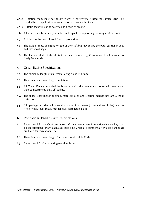- 4.5.2 Flotation foam must not absorb water. If polystyrene is used the surface MUST be sealed by the application of waterproof tape and/or laminate.
- 4.5.3 Plastic bags will not be accepted as a form of sealing.
- 4.6 All straps must be securely attached and capable of supporting the weight of the craft.
- 4.7 Paddles are the only allowed form of propulsion.
- 4.8 The paddler must be sitting on top of the craft but may secure the body position in seat and foot mouldings.
- 4.9 The hull and deck of the ski is to be sealed (water tight) so as not to allow water to freely flow inside.
- <span id="page-4-0"></span>5 Ocean Racing Specifications
- 5.1 The minimum length of an Ocean Racing Ski is 5790mm.
- 5.2 There is no maximum length limitation.
- 5.3 All Ocean Racing craft shall be boats in which the competitor sits on with one water tight compartment, and Self-bailing.
- 5.4 The shape, construction method, materials used and steering mechanisms are without restrictions.
- 5.5 All openings into the hull larger than 12mm in diameter (drain and vent holes) must be fitted with a cover that is mechanically fastened in place
- <span id="page-4-1"></span>6 Recreational Paddle Craft Specifications
- 6.1 Recreational Paddle Craft are those craft that do not meet international canoe, kayak or ski specifications for any paddle discipline but which are commercially available and mass produced for recreational use.
- 6.2 There is no maximum length for Recreational Paddle Craft.
- 6.3 Recreational Craft can be single or double only.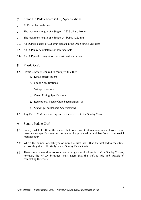- 7 Stand Up Paddleboard (SUP) Specifications
- 7.1 SUPs can be single only.
- 7.2 The maximum length of a Single 12' 6" SUP is 3810mm
- 7.3 The maximum length of a Single 14' SUP is 4280mm
- 7.4 All SUPs in excess of 4280mm remain in the Open Single SUP class
- 7.5 An SUP may be inflatable or non-inflatable
- <span id="page-5-0"></span>7.6 An SUP paddler may sit or stand without restriction.

# 8 Plastic Craft

- 8.1 Plastic Craft are required to comply with either:
	- a. Kayak Specifications
	- b. Canoe Specifications
	- c. Ski Specifications
	- d. Ocean Racing Specifications
	- e. Recreational Paddle Craft Specifications, or
	- f. Stand Up Paddleboard Specifications
- <span id="page-5-1"></span>8.2 Any Plastic Craft not meeting one of the above is in the Sundry Class.
- 9 Sundry Paddle Craft
- 9.1 Sundry Paddle Craft are those craft that do not meet international canoe, kayak, ski or ocean racing specifications and are not readily produced or available from a commercial manufacturer.
- **9.2** Where the number of each type of individual craft is less than that defined to constitute a class, they shall collectively race as Sundry Paddle Craft.
- 9.3 There are no dimension, construction or design specifications for craft in Sundry Classes, however, the NADA Scrutineer must deem that the craft is safe and capable of completing the course.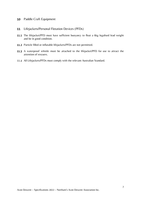# <span id="page-6-0"></span>10 Paddle Craft Equipment

- <span id="page-6-1"></span>11 Lifejackets/Personal Flotation Devices (PFDs)
- **11.1** The lifejacket/PFD must have sufficient buoyancy to float a 6kg legalised lead weight and be in good condition.
- 11.2 Particle filled or inflatable lifejackets/PFDs are not permitted.
- 11.3 A waterproof whistle must be attached to the lifejacket/PFD for use to attract the attention of rescuers.
- 11.4 All Lifejackets/PFDs must comply with the relevant Australian Standard.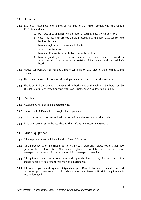## <span id="page-7-0"></span>12 Helmets

- 12.1 Each craft must have one helmet per competitor that MUST comply with the CE EN 1385 standard and:
	- a. be made of strong, lightweight material such as plastic or carbon fibre;
	- b. cover the head to provide ample protection to the forehead, temple and back of the head;
	- c. have enough positive buoyancy to float;
	- d. fit so as not to move;
	- e. have an effective fastener to fix it securely in place;
	- f. have a good system to absorb shock from impacts and to provide a separation distance between the outside of the helmet and the paddler's head;
- 12.2 Novice competitors must display a fluorescent strip on each side of their helmet during the race.
- **12.3** The helmet must be in good repair with particular reference to buckles and straps.
- 12.4 The Race ID Number must be displayed on both sides of the helmet. Numbers must be at least 50 mm high by 6 mm wide with black numbers on a yellow background.
- <span id="page-7-1"></span>13 Paddles
- **13.1** Kayaks may have double bladed paddles.
- **13.2** Canoes and SUPs must have single bladed paddles.
- 13.3 Paddles must be of strong and safe construction and must have no sharp edges.
- <span id="page-7-2"></span>**13.4** Paddles in use must not be attached to the craft by any means whatsoever.
- 14 Other Equipment
- 14.1 All equipment must be labelled with a Race ID Number.
- 14.2 An emergency ration kit should be carried by each craft and include not less than 400 gram of high calorific food (for example glucose, chocolate, nuts) and a box of waterproof matches or cigarette lighter all in a waterproof container.
- 14.3 All equipment must be in good order and repair (buckles, straps). Particular attention should be paid to equipment that may be sun damaged.
- 14.4 Allowable replacement equipment (paddles, spare Race ID Numbers) should be carried by the support crew to avoid failing daily random scrutineering if original equipment is lost or damaged.